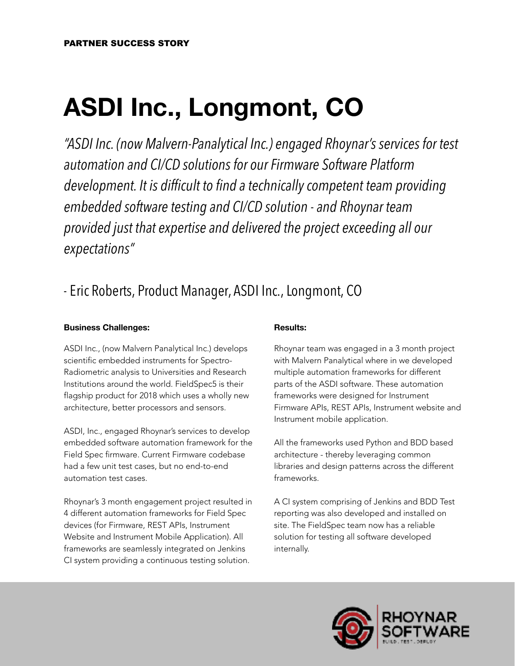# **ASDI Inc., Longmont, CO**

*"ASDI Inc. (now Malvern-Panalytical Inc.) engaged Rhoynar's services for test automation and CI/CD solutions for our Firmware Software Platform development. It is difficult to find a technically competent team providing embedded software testing and CI/CD solution - and Rhoynar team provided just that expertise and delivered the project exceeding all our expectations"* 

## - Eric Roberts, Product Manager, ASDI Inc., Longmont, CO

#### **Business Challenges:**

ASDI Inc., (now Malvern Panalytical Inc.) develops scientific embedded instruments for Spectro-Radiometric analysis to Universities and Research Institutions around the world. FieldSpec5 is their flagship product for 2018 which uses a wholly new architecture, better processors and sensors.

ASDI, Inc., engaged Rhoynar's services to develop embedded software automation framework for the Field Spec firmware. Current Firmware codebase had a few unit test cases, but no end-to-end automation test cases.

Rhoynar's 3 month engagement project resulted in 4 different automation frameworks for Field Spec devices (for Firmware, REST APIs, Instrument Website and Instrument Mobile Application). All frameworks are seamlessly integrated on Jenkins CI system providing a continuous testing solution.

#### **Results:**

Rhoynar team was engaged in a 3 month project with Malvern Panalytical where in we developed multiple automation frameworks for different parts of the ASDI software. These automation frameworks were designed for Instrument Firmware APIs, REST APIs, Instrument website and Instrument mobile application.

All the frameworks used Python and BDD based architecture - thereby leveraging common libraries and design patterns across the different frameworks.

A CI system comprising of Jenkins and BDD Test reporting was also developed and installed on site. The FieldSpec team now has a reliable solution for testing all software developed internally.

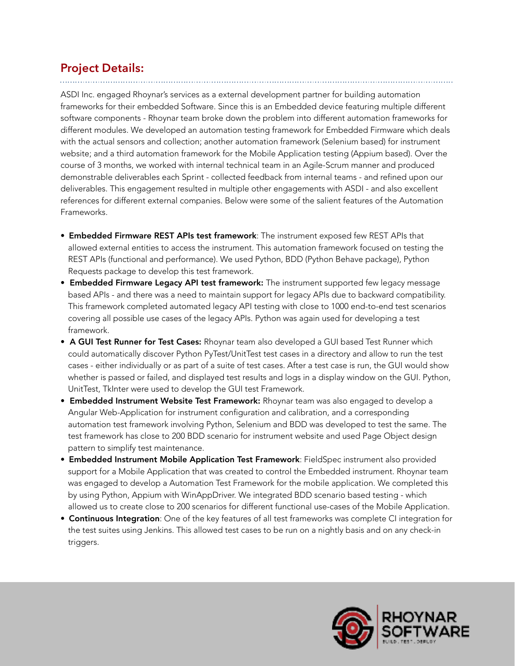#### **Project Details:**

ASDI Inc. engaged Rhoynar's services as a external development partner for building automation frameworks for their embedded Software. Since this is an Embedded device featuring multiple different software components - Rhoynar team broke down the problem into different automation frameworks for different modules. We developed an automation testing framework for Embedded Firmware which deals with the actual sensors and collection; another automation framework (Selenium based) for instrument website; and a third automation framework for the Mobile Application testing (Appium based). Over the course of 3 months, we worked with internal technical team in an Agile-Scrum manner and produced demonstrable deliverables each Sprint - collected feedback from internal teams - and refined upon our deliverables. This engagement resulted in multiple other engagements with ASDI - and also excellent references for different external companies. Below were some of the salient features of the Automation Frameworks.

- **Embedded Firmware REST APIs test framework**: The instrument exposed few REST APIs that allowed external entities to access the instrument. This automation framework focused on testing the REST APIs (functional and performance). We used Python, BDD (Python Behave package), Python Requests package to develop this test framework.
- Embedded Firmware Legacy API test framework: The instrument supported few legacy message based APIs - and there was a need to maintain support for legacy APIs due to backward compatibility. This framework completed automated legacy API testing with close to 1000 end-to-end test scenarios covering all possible use cases of the legacy APIs. Python was again used for developing a test framework.
- A GUI Test Runner for Test Cases: Rhoynar team also developed a GUI based Test Runner which could automatically discover Python PyTest/UnitTest test cases in a directory and allow to run the test cases - either individually or as part of a suite of test cases. After a test case is run, the GUI would show whether is passed or failed, and displayed test results and logs in a display window on the GUI. Python, UnitTest, TkInter were used to develop the GUI test Framework.
- **Embedded Instrument Website Test Framework:** Rhoynar team was also engaged to develop a Angular Web-Application for instrument configuration and calibration, and a corresponding automation test framework involving Python, Selenium and BDD was developed to test the same. The test framework has close to 200 BDD scenario for instrument website and used Page Object design pattern to simplify test maintenance.
- **Embedded Instrument Mobile Application Test Framework**: FieldSpec instrument also provided support for a Mobile Application that was created to control the Embedded instrument. Rhoynar team was engaged to develop a Automation Test Framework for the mobile application. We completed this by using Python, Appium with WinAppDriver. We integrated BDD scenario based testing - which allowed us to create close to 200 scenarios for different functional use-cases of the Mobile Application.
- Continuous Integration: One of the key features of all test frameworks was complete CI integration for the test suites using Jenkins. This allowed test cases to be run on a nightly basis and on any check-in triggers.